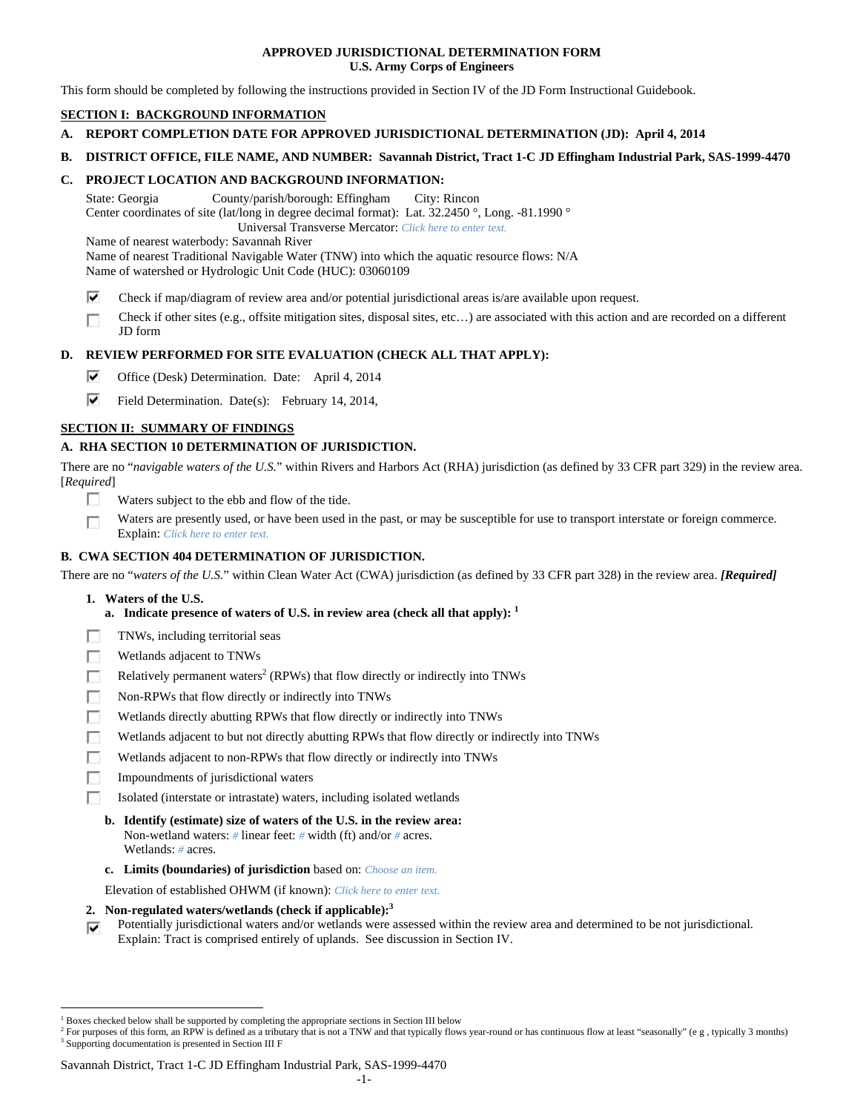## **APPROVED JURISDICTIONAL DETERMINATION FORM U.S. Army Corps of Engineers**

This form should be completed by following the instructions provided in Section IV of the JD Form Instructional Guidebook.

# **SECTION I: BACKGROUND INFORMATION**

- **A. REPORT COMPLETION DATE FOR APPROVED JURISDICTIONAL DETERMINATION (JD): April 4, 2014**
- **B. DISTRICT OFFICE, FILE NAME, AND NUMBER: Savannah District, Tract 1-C JD Effingham Industrial Park, SAS-1999-4470**

## **C. PROJECT LOCATION AND BACKGROUND INFORMATION:**

State: Georgia County/parish/borough: Effingham City: Rincon Center coordinates of site (lat/long in degree decimal format): Lat. 32.2450 °, Long. -81.1990 ° Universal Transverse Mercator: *Click here to enter text.*

Name of nearest waterbody: Savannah River

Name of nearest Traditional Navigable Water (TNW) into which the aquatic resource flows: N/A

Name of watershed or Hydrologic Unit Code (HUC): 03060109

- ⊽ Check if map/diagram of review area and/or potential jurisdictional areas is/are available upon request.
- Check if other sites (e.g., offsite mitigation sites, disposal sites, etc…) are associated with this action and are recorded on a different г JD form

## **D. REVIEW PERFORMED FOR SITE EVALUATION (CHECK ALL THAT APPLY):**

⊽ Office (Desk) Determination. Date: April 4, 2014

⊽ Field Determination. Date(s): February 14, 2014,

## **SECTION II: SUMMARY OF FINDINGS**

## **A. RHA SECTION 10 DETERMINATION OF JURISDICTION.**

There are no "*navigable waters of the U.S.*" within Rivers and Harbors Act (RHA) jurisdiction (as defined by 33 CFR part 329) in the review area. [*Required*]

- п. Waters subject to the ebb and flow of the tide.
- Waters are presently used, or have been used in the past, or may be susceptible for use to transport interstate or foreign commerce. п Explain: *Click here to enter text.*

## **B. CWA SECTION 404 DETERMINATION OF JURISDICTION.**

There are no "*waters of the U.S.*" within Clean Water Act (CWA) jurisdiction (as defined by 33 CFR part 328) in the review area. *[Required]* 

### **1. Waters of the U.S.**

 $\overline{a}$ 

- **a. Indicate presence of waters of U.S. in review area (check all that apply): 1**
- Е TNWs, including territorial seas
- П Wetlands adjacent to TNWs
- Relatively permanent waters<sup>2</sup> (RPWs) that flow directly or indirectly into TNWs г
- г Non-RPWs that flow directly or indirectly into TNWs
- п Wetlands directly abutting RPWs that flow directly or indirectly into TNWs
- Wetlands adjacent to but not directly abutting RPWs that flow directly or indirectly into TNWs Е
- г Wetlands adjacent to non-RPWs that flow directly or indirectly into TNWs
- п Impoundments of jurisdictional waters
- П. Isolated (interstate or intrastate) waters, including isolated wetlands
	- **b. Identify (estimate) size of waters of the U.S. in the review area:**  Non-wetland waters: *#* linear feet: *#* width (ft) and/or *#* acres. Wetlands: *#* acres.
	- **c. Limits (boundaries) of jurisdiction** based on: *Choose an item.*

Elevation of established OHWM (if known): *Click here to enter text.*

- **2. Non-regulated waters/wetlands (check if applicable):3**
- Potentially jurisdictional waters and/or wetlands were assessed within the review area and determined to be not jurisdictional. ⊽ Explain: Tract is comprised entirely of uplands. See discussion in Section IV.

Savannah District, Tract 1-C JD Effingham Industrial Park, SAS-1999-4470

<sup>&</sup>lt;sup>1</sup> Boxes checked below shall be supported by completing the appropriate sections in Section III below  $\frac{2}{5}$  For purposes of this form an PBW is defined as a tributery that is not a TNW and that tunisally flavor

<sup>&</sup>lt;sup>2</sup> For purposes of this form, an RPW is defined as a tributary that is not a TNW and that typically flows year-round or has continuous flow at least "seasonally" (e g, typically 3 months) <sup>3</sup> Supporting documentation is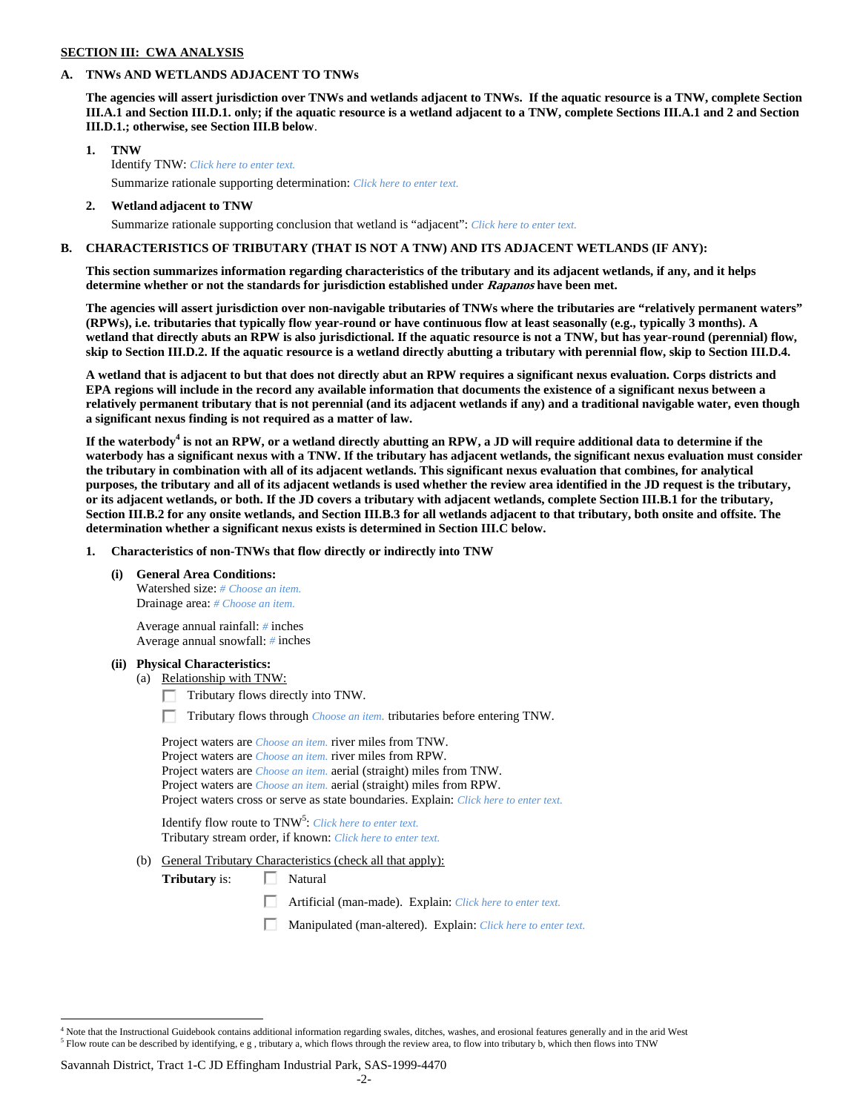### **SECTION III: CWA ANALYSIS**

## **A. TNWs AND WETLANDS ADJACENT TO TNWs**

 **III.D.1.; otherwise, see Section III.B below**. **The agencies will assert jurisdiction over TNWs and wetlands adjacent to TNWs. If the aquatic resource is a TNW, complete Section III.A.1 and Section III.D.1. only; if the aquatic resource is a wetland adjacent to a TNW, complete Sections III.A.1 and 2 and Section** 

- **1. TNW**  Identify TNW: *Click here to enter text.*  Summarize rationale supporting determination: *Click here to enter text.*
- **2. Wetland adjacent to TNW** 
	- Summarize rationale supporting conclusion that wetland is "adjacent": *Click here to enter text.*

### **B. CHARACTERISTICS OF TRIBUTARY (THAT IS NOT A TNW) AND ITS ADJACENT WETLANDS (IF ANY):**

**This section summarizes information regarding characteristics of the tributary and its adjacent wetlands, if any, and it helps determine whether or not the standards for jurisdiction established under Rapanos have been met.** 

skip to Section III.D.2. If the aquatic resource is a wetland directly abutting a tributary with perennial flow, skip to Section III.D.4. **The agencies will assert jurisdiction over non-navigable tributaries of TNWs where the tributaries are "relatively permanent waters" (RPWs), i.e. tributaries that typically flow year-round or have continuous flow at least seasonally (e.g., typically 3 months). A wetland that directly abuts an RPW is also jurisdictional. If the aquatic resource is not a TNW, but has year-round (perennial) flow,** 

A wetland that is adjacent to but that does not directly abut an RPW requires a significant nexus evaluation. Corps districts and **EPA regions will include in the record any available information that documents the existence of a significant nexus between a relatively permanent tributary that is not perennial (and its adjacent wetlands if any) and a traditional navigable water, even though a significant nexus finding is not required as a matter of law.** 

**If the waterbody<sup>4</sup> is not an RPW, or a wetland directly abutting an RPW, a JD will require additional data to determine if the waterbody has a significant nexus with a TNW. If the tributary has adjacent wetlands, the significant nexus evaluation must consider the tributary in combination with all of its adjacent wetlands. This significant nexus evaluation that combines, for analytical purposes, the tributary and all of its adjacent wetlands is used whether the review area identified in the JD request is the tributary, or its adjacent wetlands, or both. If the JD covers a tributary with adjacent wetlands, complete Section III.B.1 for the tributary, Section III.B.2 for any onsite wetlands, and Section III.B.3 for all wetlands adjacent to that tributary, both onsite and offsite. The** 

 **determination whether a significant nexus exists is determined in Section III.C below. 1. Characteristics of non-TNWs that flow directly or indirectly into TNW** 

**(i) General Area Conditions:**

 Drainage area: *# Choose an item.* Watershed size: *# Choose an item.*

> Average annual rainfall: *#* inches Average annual snowfall: *#* inches

### **(ii) Physical Characteristics:**

- (a) Relationship with TNW:
	- $\Box$  Tributary flows directly into TNW.

п. Tributary flows through *Choose an item.* tributaries before entering TNW.

 Project waters are *Choose an item.* aerial (straight) miles from TNW. Project waters are *Choose an item.* aerial (straight) miles from RPW. Project waters are *Choose an item.* river miles from TNW. Project waters are *Choose an item.* river miles from RPW. Project waters cross or serve as state boundaries. Explain: *Click here to enter text.*

Identify flow route to TNW<sup>5</sup>: *Click here to enter text.* Tributary stream order, if known: *Click here to enter text.*

(b) General Tributary Characteristics (check all that apply):

**Tributary** is:  $\Box$  Natural

> П. Artificial (man-made). Explain: *Click here to enter text.*

Manipulated (man-altered). Explain: *Click here to enter text.* 

 $\overline{a}$ 

 Flow route can be described by identifying, e g , tributary a, which flows through the review area, to flow into tributary b, which then flows into TNW <sup>4</sup> Note that the Instructional Guidebook contains additional information regarding swales, ditches, washes, and erosional features generally and in the arid West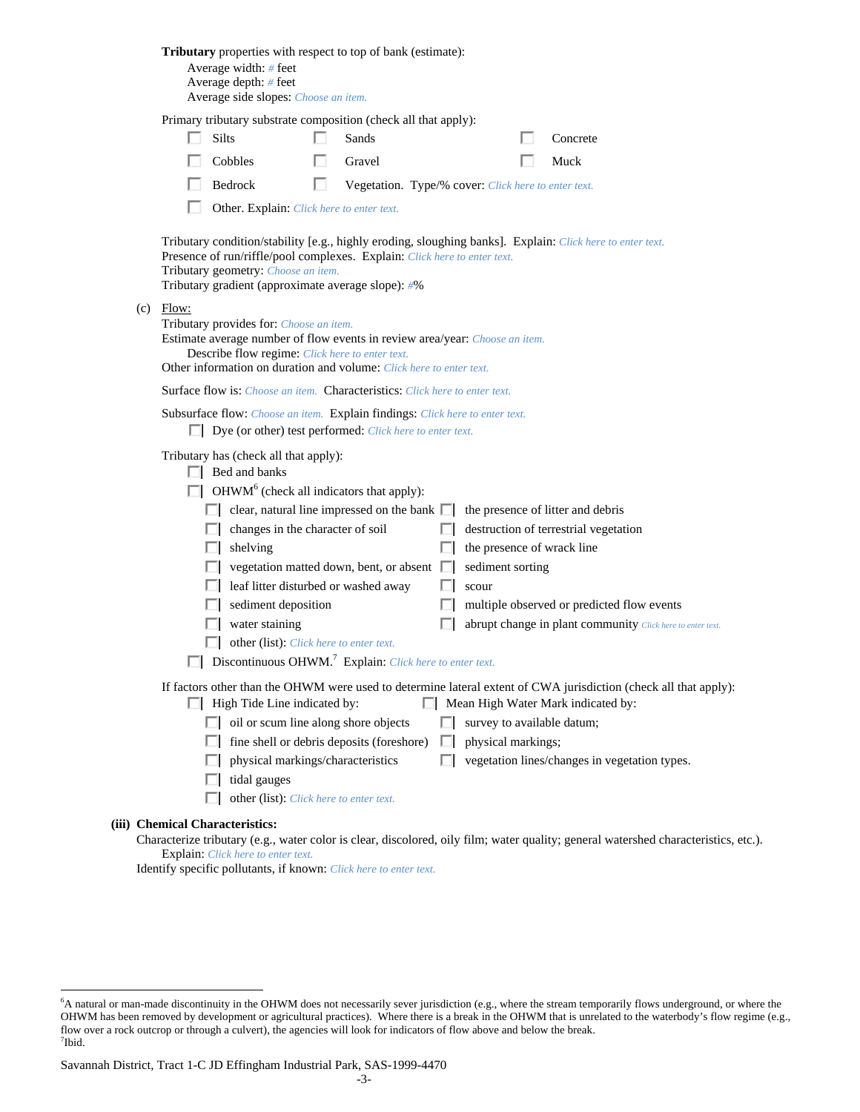| Tributary properties with respect to top of bank (estimate):<br>Average width: $#$ feet<br>Average depth: # feet<br>Average side slopes: Choose an item.                                                                                                                                                                                                                                                                                                                                                                                                                                                                                                                                                                                                                                                                                                                                                                                                                                                                                          |
|---------------------------------------------------------------------------------------------------------------------------------------------------------------------------------------------------------------------------------------------------------------------------------------------------------------------------------------------------------------------------------------------------------------------------------------------------------------------------------------------------------------------------------------------------------------------------------------------------------------------------------------------------------------------------------------------------------------------------------------------------------------------------------------------------------------------------------------------------------------------------------------------------------------------------------------------------------------------------------------------------------------------------------------------------|
| Primary tributary substrate composition (check all that apply):                                                                                                                                                                                                                                                                                                                                                                                                                                                                                                                                                                                                                                                                                                                                                                                                                                                                                                                                                                                   |
| Silts<br>Sands<br>Concrete                                                                                                                                                                                                                                                                                                                                                                                                                                                                                                                                                                                                                                                                                                                                                                                                                                                                                                                                                                                                                        |
| Cobbles<br>Muck<br>Gravel                                                                                                                                                                                                                                                                                                                                                                                                                                                                                                                                                                                                                                                                                                                                                                                                                                                                                                                                                                                                                         |
| п<br>Bedrock<br>Vegetation. Type/% cover: Click here to enter text.                                                                                                                                                                                                                                                                                                                                                                                                                                                                                                                                                                                                                                                                                                                                                                                                                                                                                                                                                                               |
| Other. Explain: Click here to enter text.                                                                                                                                                                                                                                                                                                                                                                                                                                                                                                                                                                                                                                                                                                                                                                                                                                                                                                                                                                                                         |
| Tributary condition/stability [e.g., highly eroding, sloughing banks]. Explain: Click here to enter text.<br>Presence of run/riffle/pool complexes. Explain: Click here to enter text.<br>Tributary geometry: Choose an item.<br>Tributary gradient (approximate average slope): #%                                                                                                                                                                                                                                                                                                                                                                                                                                                                                                                                                                                                                                                                                                                                                               |
| $(c)$ Flow:<br>Tributary provides for: Choose an item.<br>Estimate average number of flow events in review area/year: Choose an item.<br>Describe flow regime: Click here to enter text.<br>Other information on duration and volume: Click here to enter text.                                                                                                                                                                                                                                                                                                                                                                                                                                                                                                                                                                                                                                                                                                                                                                                   |
| <b>Surface flow is:</b> Choose an item. <b>Characteristics:</b> Click here to enter text.                                                                                                                                                                                                                                                                                                                                                                                                                                                                                                                                                                                                                                                                                                                                                                                                                                                                                                                                                         |
| Subsurface flow: Choose an item. Explain findings: Click here to enter text.<br>$\Box$ Dye (or other) test performed: <i>Click here to enter text</i> .                                                                                                                                                                                                                                                                                                                                                                                                                                                                                                                                                                                                                                                                                                                                                                                                                                                                                           |
| Tributary has (check all that apply):<br>$\Box$ Bed and banks<br>$\Box$ OHWM <sup>6</sup> (check all indicators that apply):<br>$\Box$ clear, natural line impressed on the bank $\Box$<br>the presence of litter and debris<br>changes in the character of soil<br>destruction of terrestrial vegetation<br>shelving<br>the presence of wrack line<br>ш<br>vegetation matted down, bent, or absent $\Box$<br>sediment sorting<br>leaf litter disturbed or washed away<br>scour<br>LТ<br>sediment deposition<br>multiple observed or predicted flow events<br>water staining<br>abrupt change in plant community Click here to enter text.<br>other (list): Click here to enter text.<br>Discontinuous OHWM. <sup>7</sup> Explain: Click here to enter text.<br>If factors other than the OHWM were used to determine lateral extent of CWA jurisdiction (check all that apply):<br>$\Box$ Mean High Water Mark indicated by:<br>$\Box$ High Tide Line indicated by:<br>$\Box$ oil or scum line along shore objects<br>survey to available datum; |
| fine shell or debris deposits (foreshore)<br>physical markings;<br>П<br>physical markings/characteristics<br>vegetation lines/changes in vegetation types.<br>ш<br>tidal gauges<br>other (list): Click here to enter text.                                                                                                                                                                                                                                                                                                                                                                                                                                                                                                                                                                                                                                                                                                                                                                                                                        |
| (iii) Chemical Characteristics:<br>Characterize tributary (e.g., water color is clear, discolored, oily film; water quality; general watershed characteristics, etc.).                                                                                                                                                                                                                                                                                                                                                                                                                                                                                                                                                                                                                                                                                                                                                                                                                                                                            |

Explain: *Click here to enter text.* 

Identify specific pollutants, if known: *Click here to enter text.* 

<sup>&</sup>lt;sup>6</sup> A natural or man-made discontinuity in the OHWM does not necessarily sever jurisdiction (e.g., where the stream temporarily flows underground, or where the OHWM has been removed by development or agricultural practices). Where there is a break in the OHWM that is unrelated to the waterbody's flow regime (e.g., flow over a rock outcrop or through a culvert), the agencies will look for indicators of flow above and below the break. <sup>7</sup>Ibid.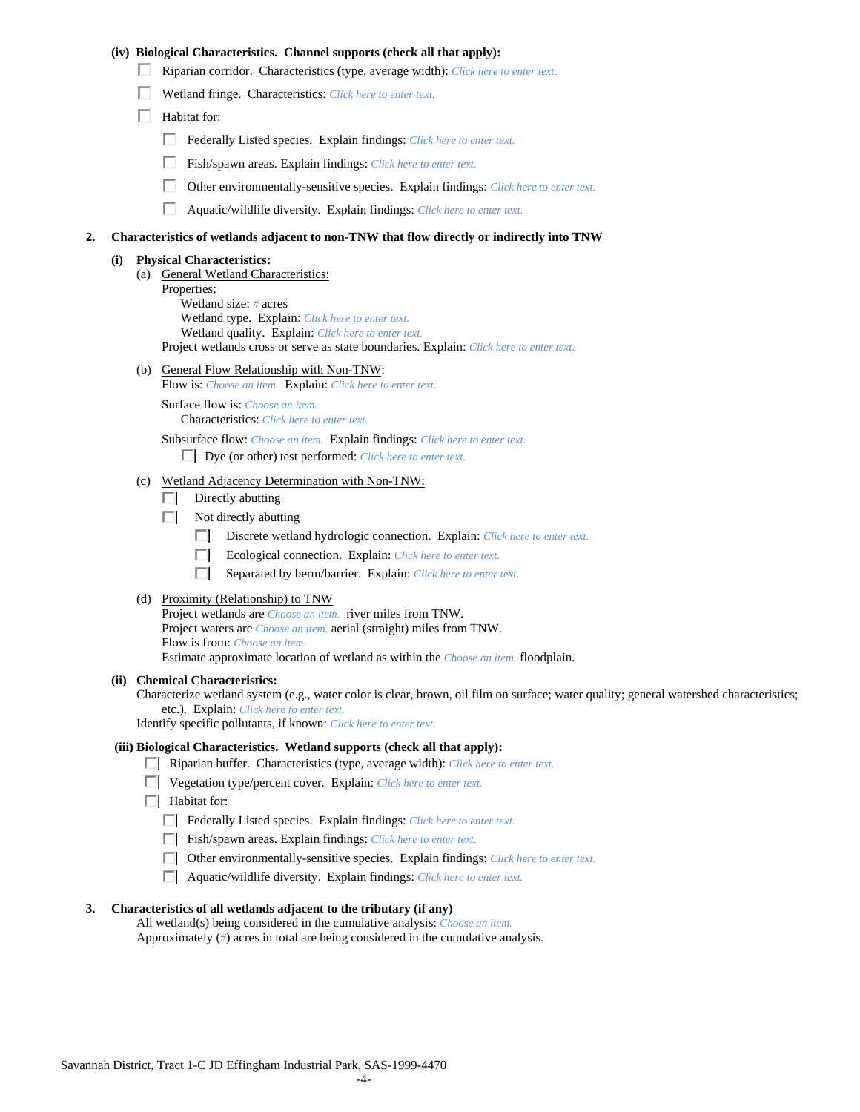## **(iv) Biological Characteristics. Channel supports (check all that apply):**

- Riparian corridor. Characteristics (type, average width): *Click here to enter text.*
- Wetland fringe. Characteristics: *Click here to enter text.*
- $\Box$  Habitat for:
	- Federally Listed species. Explain findings: *Click here to enter text*.
	- Fish/spawn areas. Explain findings: *Click here to enter text*.
	- п. Other environmentally-sensitive species. Explain findings: *Click here to enter text.*
	- п. Aquatic/wildlife diversity. Explain findings: *Click here to enter text.*

#### **2. Characteristics of wetlands adjacent to non-TNW that flow directly or indirectly into TNW**

### **(i) Physical Characteristics:**

- (a) General Wetland Characteristics:
	- Properties:

 Wetland size: *#* acres Wetland type. Explain: *Click here to enter text.*

Wetland quality. Explain: *Click here to enter text.*

Project wetlands cross or serve as state boundaries. Explain: *Click here to enter text.* 

(b) General Flow Relationship with Non-TNW: Flow is: *Choose an item.* Explain: *Click here to enter text.*

 Surface flow is: *Choose an item.* Characteristics: *Click here to enter text.*

Subsurface flow: *Choose an item.* Explain findings: *Click here to enter text.*

Dye (or other) test performed: *Click here to enter text.* 

### (c) Wetland Adjacency Determination with Non-TNW:

- $\Box$  Directly abutting
- Not directly abutting
	- Discrete wetland hydrologic connection. Explain: *Click here to enter text*.
	- Ecological connection. Explain: *Click here to enter text.*  П.
	- П. Separated by berm/barrier. Explain: *Click here to enter text.*
- (d) Proximity (Relationship) to TNW

 Project waters are *Choose an item.* aerial (straight) miles from TNW. Project wetlands are *Choose an item.* river miles from TNW. Flow is from: *Choose an item.* Estimate approximate location of wetland as within the *Choose an item.* floodplain.

#### **(ii) Chemical Characteristics:**

Characterize wetland system (e.g., water color is clear, brown, oil film on surface; water quality; general watershed characteristics; etc.). Explain: *Click here to enter text.* 

Identify specific pollutants, if known: *Click here to enter text.*

### **(iii) Biological Characteristics. Wetland supports (check all that apply):**

- Riparian buffer. Characteristics (type, average width): *Click here to enter text.*
- Vegetation type/percent cover. Explain: *Click here to enter text.*
- $\Box$  Habitat for:
	- Federally Listed species. Explain findings: *Click here to enter text*.
	- Fish/spawn areas. Explain findings: *Click here to enter text*.
	- Other environmentally-sensitive species. Explain findings: *Click here to enter text.*
	- Aquatic/wildlife diversity. Explain findings: *Click here to enter text.*

#### **3. Characteristics of all wetlands adjacent to the tributary (if any)**

All wetland(s) being considered in the cumulative analysis: *Choose an item.* Approximately (*#*) acres in total are being considered in the cumulative analysis.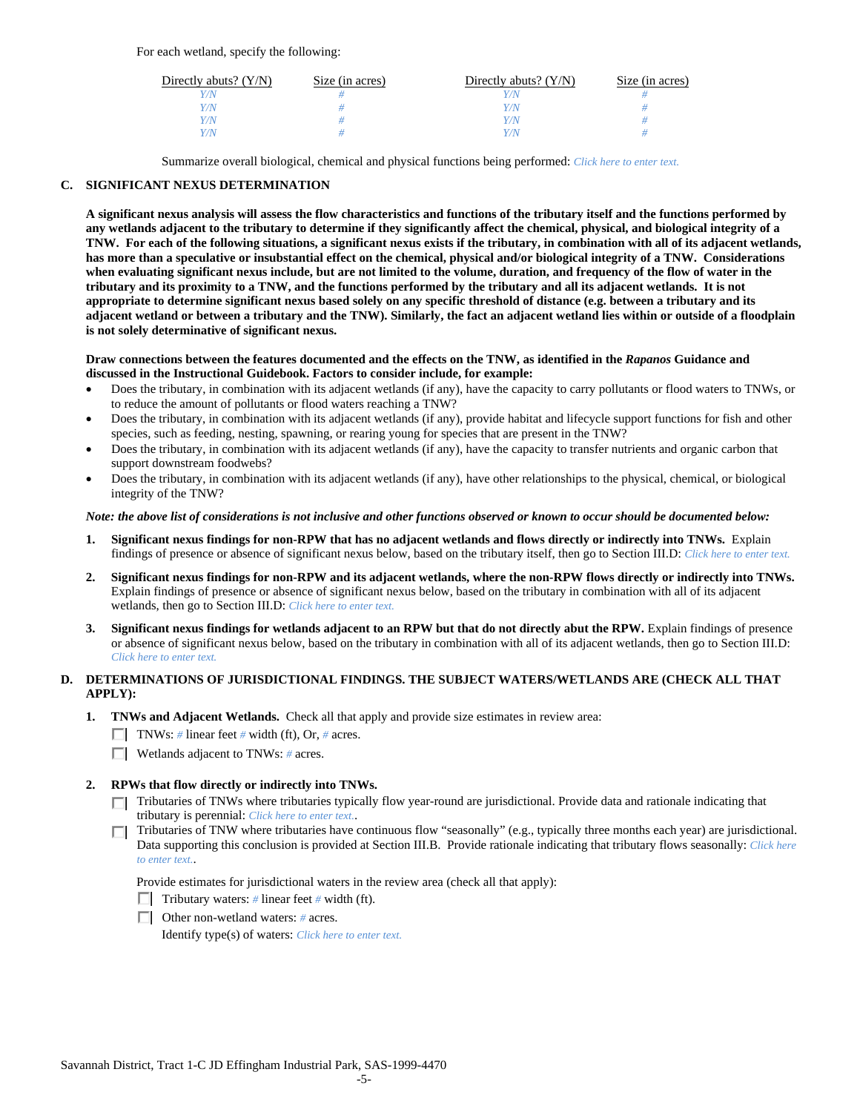For each wetland, specify the following:

| Directly abuts? $(Y/N)$ | Size (in acres) | Directly abuts? $(Y/N)$ | Size (in acres) |
|-------------------------|-----------------|-------------------------|-----------------|
|                         |                 |                         |                 |
| Y/N                     |                 | Y/N                     |                 |
| Y/N                     |                 | Y/N                     |                 |
| Y/N                     |                 | Y/N                     |                 |

Summarize overall biological, chemical and physical functions being performed: *Click here to enter text.* 

## **C. SIGNIFICANT NEXUS DETERMINATION**

 **when evaluating significant nexus include, but are not limited to the volume, duration, and frequency of the flow of water in the**  is not solely determinative of significant nexus. **A significant nexus analysis will assess the flow characteristics and functions of the tributary itself and the functions performed by any wetlands adjacent to the tributary to determine if they significantly affect the chemical, physical, and biological integrity of a TNW. For each of the following situations, a significant nexus exists if the tributary, in combination with all of its adjacent wetlands, has more than a speculative or insubstantial effect on the chemical, physical and/or biological integrity of a TNW. Considerations tributary and its proximity to a TNW, and the functions performed by the tributary and all its adjacent wetlands. It is not appropriate to determine significant nexus based solely on any specific threshold of distance (e.g. between a tributary and its adjacent wetland or between a tributary and the TNW). Similarly, the fact an adjacent wetland lies within or outside of a floodplain** 

### Draw connections between the features documented and the effects on the TNW, as identified in the *Rapanos* Guidance and **discussed in the Instructional Guidebook. Factors to consider include, for example:**

- to reduce the amount of pollutants or flood waters reaching a TNW? Does the tributary, in combination with its adjacent wetlands (if any), have the capacity to carry pollutants or flood waters to TNWs, or
- species, such as feeding, nesting, spawning, or rearing young for species that are present in the TNW? Does the tributary, in combination with its adjacent wetlands (if any), provide habitat and lifecycle support functions for fish and other
- support downstream foodwebs? Does the tributary, in combination with its adjacent wetlands (if any), have the capacity to transfer nutrients and organic carbon that
- integrity of the TNW? Does the tributary, in combination with its adjacent wetlands (if any), have other relationships to the physical, chemical, or biological

### *Note: the above list of considerations is not inclusive and other functions observed or known to occur should be documented below:*

- **1. Significant nexus findings for non-RPW that has no adjacent wetlands and flows directly or indirectly into TNWs.** Explain findings of presence or absence of significant nexus below, based on the tributary itself, then go to Section III.D: *Click here to enter text.*
- **2. Significant nexus findings for non-RPW and its adjacent wetlands, where the non-RPW flows directly or indirectly into TNWs.**  Explain findings of presence or absence of significant nexus below, based on the tributary in combination with all of its adjacent wetlands, then go to Section III.D: *Click here to enter text.*
- **3. Significant nexus findings for wetlands adjacent to an RPW but that do not directly abut the RPW.** Explain findings of presence or absence of significant nexus below, based on the tributary in combination with all of its adjacent wetlands, then go to Section III.D: *Click here to enter text.*

# **D. DETERMINATIONS OF JURISDICTIONAL FINDINGS. THE SUBJECT WATERS/WETLANDS ARE (CHECK ALL THAT APPLY):**

- **1. TNWs and Adjacent Wetlands.** Check all that apply and provide size estimates in review area:
	- TNWs: *#* linear feet *#* width (ft), Or, *#* acres.
	- Wetlands adjacent to TNWs: *#* acres.
- **2. RPWs that flow directly or indirectly into TNWs.** 
	- Tributaries of TNWs where tributaries typically flow year-round are jurisdictional. Provide data and rationale indicating that tributary is perennial: *Click here to enter text.*.
	- Data supporting this conclusion is provided at Section III.B. Provide rationale indicating that tributary flows seasonally: *Click here*  Tributaries of TNW where tributaries have continuous flow "seasonally" (e.g., typically three months each year) are jurisdictional. *to enter text.*.

Provide estimates for jurisdictional waters in the review area (check all that apply):

- Tributary waters:  $\#$  linear feet  $\#$  width (ft).
- Other non-wetland waters: *#* acres.

Identify type(s) of waters: *Click here to enter text.*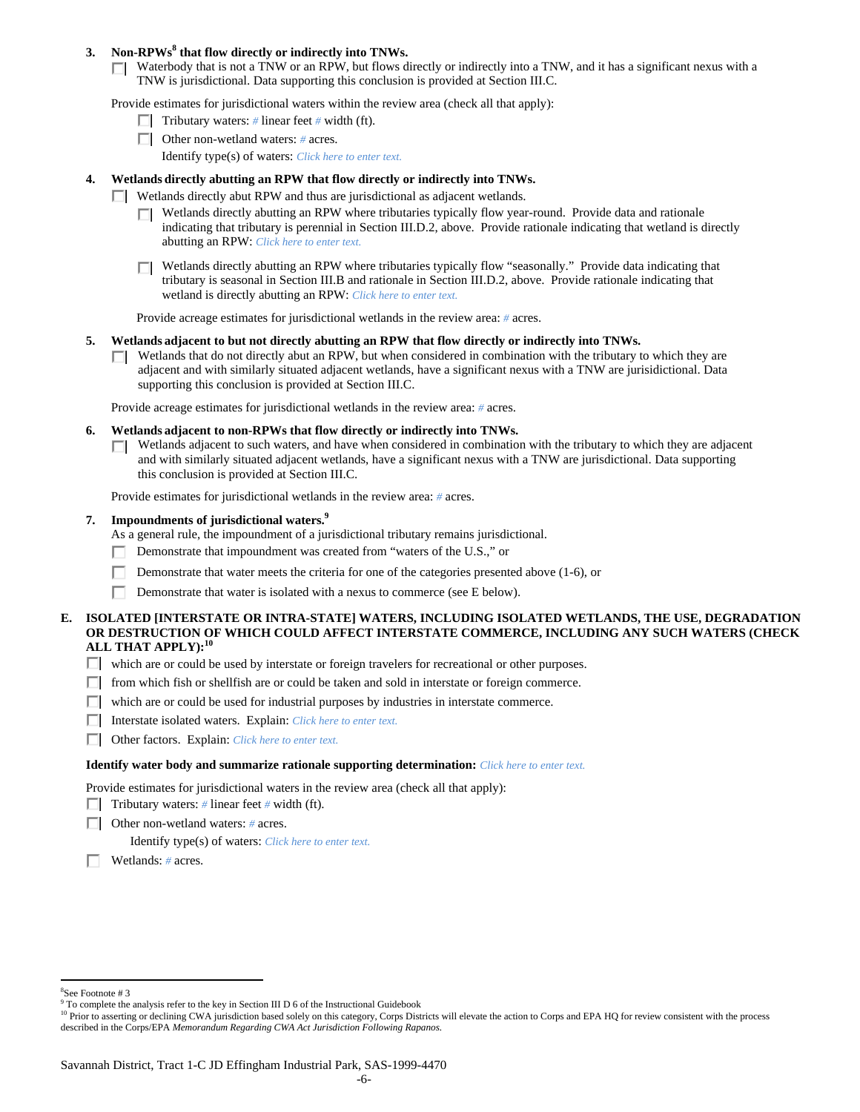## **3. Non-RPWs<sup>8</sup> that flow directly or indirectly into TNWs.**

Waterbody that is not a TNW or an RPW, but flows directly or indirectly into a TNW, and it has a significant nexus with a TNW is jurisdictional. Data supporting this conclusion is provided at Section III.C.

Provide estimates for jurisdictional waters within the review area (check all that apply):

- **Tributary waters:** # linear feet # width (ft).
- Other non-wetland waters: *#* acres.
	- Identify type(s) of waters: *Click here to enter text.*

# **4. Wetlands directly abutting an RPW that flow directly or indirectly into TNWs.**

- **Wetlands directly abut RPW and thus are jurisdictional as adjacent wetlands.** 
	- Wetlands directly abutting an RPW where tributaries typically flow year-round. Provide data and rationale indicating that tributary is perennial in Section III.D.2, above. Provide rationale indicating that wetland is directly abutting an RPW: *Click here to enter text.*
	- Wetlands directly abutting an RPW where tributaries typically flow "seasonally." Provide data indicating that П tributary is seasonal in Section III.B and rationale in Section III.D.2, above. Provide rationale indicating that wetland is directly abutting an RPW: *Click here to enter text.*

Provide acreage estimates for jurisdictional wetlands in the review area: *#* acres.

- **5. Wetlands adjacent to but not directly abutting an RPW that flow directly or indirectly into TNWs.** 
	- $\Box$  Wetlands that do not directly abut an RPW, but when considered in combination with the tributary to which they are adjacent and with similarly situated adjacent wetlands, have a significant nexus with a TNW are jurisidictional. Data supporting this conclusion is provided at Section III.C.

Provide acreage estimates for jurisdictional wetlands in the review area: *#* acres.

- **6. Wetlands adjacent to non-RPWs that flow directly or indirectly into TNWs.** 
	- Wetlands adjacent to such waters, and have when considered in combination with the tributary to which they are adjacent П. and with similarly situated adjacent wetlands, have a significant nexus with a TNW are jurisdictional. Data supporting this conclusion is provided at Section III.C.

Provide estimates for jurisdictional wetlands in the review area: *#* acres.

### **7. Impoundments of jurisdictional waters.9**

As a general rule, the impoundment of a jurisdictional tributary remains jurisdictional.

- Demonstrate that impoundment was created from "waters of the U.S.," or
- Demonstrate that water meets the criteria for one of the categories presented above (1-6), or
- Demonstrate that water is isolated with a nexus to commerce (see E below).

## **E. ISOLATED [INTERSTATE OR INTRA-STATE] WATERS, INCLUDING ISOLATED WETLANDS, THE USE, DEGRADATION OR DESTRUCTION OF WHICH COULD AFFECT INTERSTATE COMMERCE, INCLUDING ANY SUCH WATERS (CHECK ALL THAT APPLY):<sup>10</sup>**

- which are or could be used by interstate or foreign travelers for recreational or other purposes.
- $\Box$  from which fish or shellfish are or could be taken and sold in interstate or foreign commerce.
- $\Box$  which are or could be used for industrial purposes by industries in interstate commerce.
- Interstate isolated waters. Explain: *Click here to enter text.*
- Other factors. Explain: *Click here to enter text.*

### **Identify water body and summarize rationale supporting determination:** *Click here to enter text.*

Provide estimates for jurisdictional waters in the review area (check all that apply):

- **Tributary waters:** # linear feet # width (ft).
- Other non-wetland waters: *#* acres.

Identify type(s) of waters: *Click here to enter text.*

Wetlands: *#* acres.

 $\overline{a}$ 

-6-

<sup>8</sup> See Footnote # 3

<sup>&</sup>lt;sup>9</sup> To complete the analysis refer to the key in Section III D 6 of the Instructional Guidebook

 described in the Corps/EPA *Memorandum Regarding CWA Act Jurisdiction Following Rapanos.*  <sup>10</sup> Prior to asserting or declining CWA jurisdiction based solely on this category, Corps Districts will elevate the action to Corps and EPA HQ for review consistent with the process